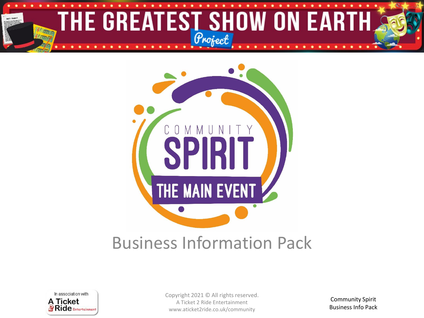



### Business Information Pack



Copyright 2021 © All rights reserved. A Ticket 2 Ride Entertainment www.aticket2ride.co.uk/community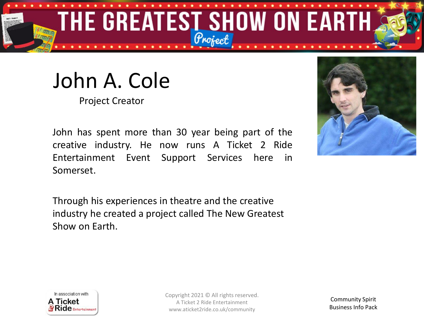

## John A. Cole

Project Creator

John has spent more than 30 year being part of the creative industry. He now runs A Ticket 2 Ride Entertainment Event Support Services here in Somerset.

Through his experiences in theatre and the creative industry he created a project called The New Greatest Show on Earth.





Copyright 2021 © All rights reserved. A Ticket 2 Ride Entertainment www.aticket2ride.co.uk/community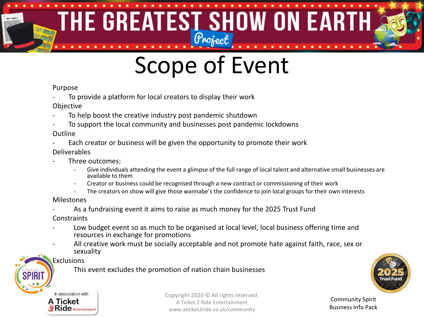### THE GREATEST SHOW ON EARTH 有限的

# Scope of Event

#### Purpose

- To provide a platform for local creators to display their work
- Objective
- To help boost the creative industry post pandemic shutdown
- To support the local community and businesses post pandemic lockdowns

#### Outline

Each creator or business will be given the opportunity to promote their work

#### Deliverables

- Three outcomes:
	- Give individuals attending the event a glimpse of the full range of local talent and alternative small businesses are available to them
	- Creator or business could be recognised through a new contract or commissioning of their work
	- The creators on show will give those wannabe's the confidence to join local groups for their own interests

#### Milestones

As a fundraising event it aims to raise as much money for the 2025 Trust Fund

**Constraints** 

- Low budget event so as much to be organised at local level, local business offering time and resources in exchange for promotions
- All creative work must be socially acceptable and not promote hate against faith, race, sex or sexuality

#### Exclusions

This event excludes the promotion of nation chain businesses





Copyright 2020 © All rights reserved. A Ticket 2 Ride Entertainment www.aticket2ride.co.uk/community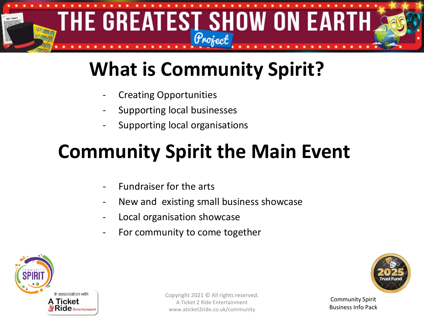

## **What is Community Spirit?**

- **Creating Opportunities**
- Supporting local businesses
- Supporting local organisations

### **Community Spirit the Main Event**

- Fundraiser for the arts
- New and existing small business showcase
- Local organisation showcase
- For community to come together



Copyright 2021 © All rights reserved. A Ticket 2 Ride Entertainment www.aticket2ride.co.uk/community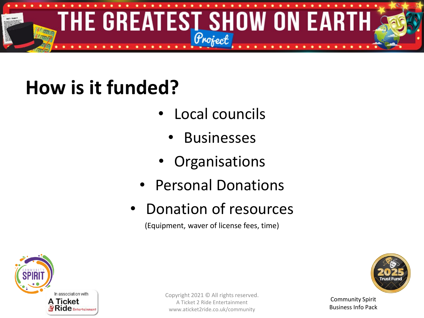

## **How is it funded?**

- Local councils
	- **Businesses**
- **Organisations**
- Personal Donations
- Donation of resources

(Equipment, waver of license fees, time)



Community Spirit Business Info Pack

Copyright 2021 © All rights reserved. A Ticket 2 Ride Entertainment www.aticket2ride.co.uk/community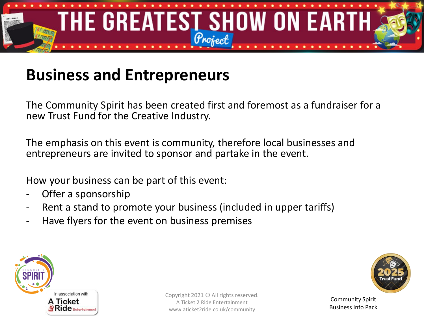

#### **Business and Entrepreneurs**

The Community Spirit has been created first and foremost as a fundraiser for a new Trust Fund for the Creative Industry.

The emphasis on this event is community, therefore local businesses and entrepreneurs are invited to sponsor and partake in the event.

How your business can be part of this event:

- Offer a sponsorship
- Rent a stand to promote your business (included in upper tariffs)
- Have flyers for the event on business premises



Copyright 2021 © All rights reserved. A Ticket 2 Ride Entertainment www.aticket2ride.co.uk/community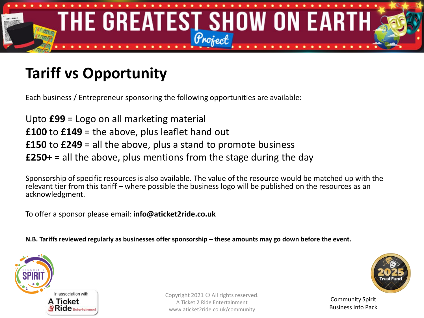

#### **Tariff vs Opportunity**

Each business / Entrepreneur sponsoring the following opportunities are available:

Upto **£99** = Logo on all marketing material **£100** to **£149** = the above, plus leaflet hand out **£150** to **£249** = all the above, plus a stand to promote business **£250+** = all the above, plus mentions from the stage during the day

Sponsorship of specific resources is also available. The value of the resource would be matched up with the relevant tier from this tariff – where possible the business logo will be published on the resources as an acknowledgment.

To offer a sponsor please email: **info@aticket2ride.co.uk**

**N.B. Tariffs reviewed regularly as businesses offer sponsorship – these amounts may go down before the event.** 



Copyright 2021 © All rights reserved. A Ticket 2 Ride Entertainment www.aticket2ride.co.uk/community

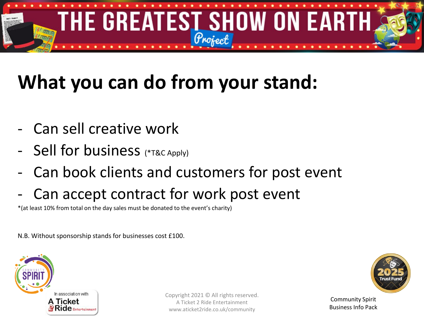

## **What you can do from your stand:**

- Can sell creative work
- Sell for business (\*T&C Apply)
- Can book clients and customers for post event
- Can accept contract for work post event

\*(at least 10% from total on the day sales must be donated to the event's charity)

N.B. Without sponsorship stands for businesses cost £100.



Copyright 2021 © All rights reserved. A Ticket 2 Ride Entertainment www.aticket2ride.co.uk/community

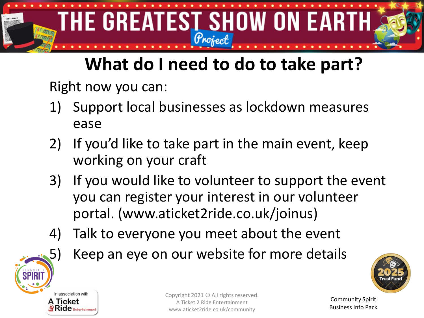

### **What do I need to do to take part?**

Right now you can:

- 1) Support local businesses as lockdown measures ease
- 2) If you'd like to take part in the main event, keep working on your craft
- 3) If you would like to volunteer to support the event you can register your interest in our volunteer portal. (www.aticket2ride.co.uk/joinus)
- 4) Talk to everyone you meet about the event
	- Keep an eye on our website for more details





Copyright 2021 © All rights reserved. A Ticket 2 Ride Entertainment www.aticket2ride.co.uk/community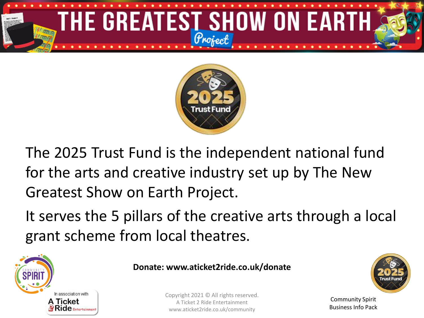



The 2025 Trust Fund is the independent national fund for the arts and creative industry set up by The New Greatest Show on Earth Project.

It serves the 5 pillars of the creative arts through a local grant scheme from local theatres.



#### **Donate: www.aticket2ride.co.uk/donate**

Copyright 2021 © All rights reserved. A Ticket 2 Ride Entertainment www.aticket2ride.co.uk/community